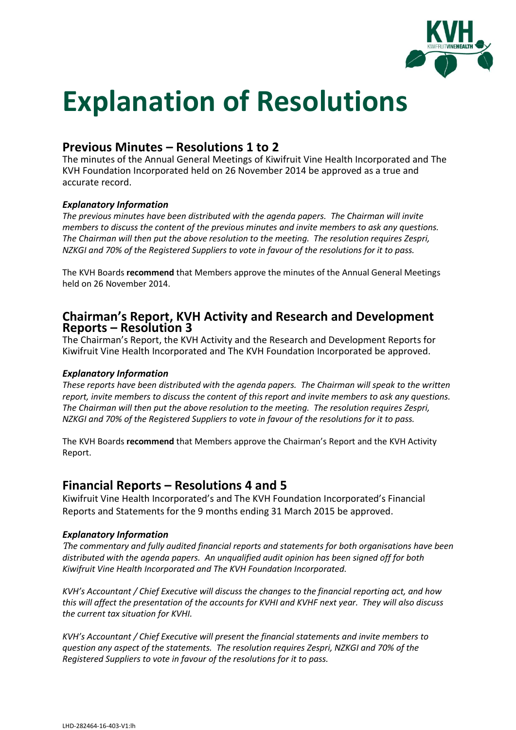

# **Explanation of Resolutions**

# **Previous Minutes – Resolutions 1 to 2**

The minutes of the Annual General Meetings of Kiwifruit Vine Health Incorporated and The KVH Foundation Incorporated held on 26 November 2014 be approved as a true and accurate record.

#### *Explanatory Information*

*The previous minutes have been distributed with the agenda papers. The Chairman will invite members to discuss the content of the previous minutes and invite members to ask any questions. The Chairman will then put the above resolution to the meeting. The resolution requires Zespri, NZKGI and 70% of the Registered Suppliers to vote in favour of the resolutions for it to pass.*

The KVH Boards **recommend** that Members approve the minutes of the Annual General Meetings held on 26 November 2014.

### **Chairman's Report, KVH Activity and Research and Development Reports – Resolution 3**

The Chairman's Report, the KVH Activity and the Research and Development Reports for Kiwifruit Vine Health Incorporated and The KVH Foundation Incorporated be approved.

#### *Explanatory Information*

*These reports have been distributed with the agenda papers. The Chairman will speak to the written report, invite members to discuss the content of this report and invite members to ask any questions. The Chairman will then put the above resolution to the meeting. The resolution requires Zespri, NZKGI and 70% of the Registered Suppliers to vote in favour of the resolutions for it to pass.*

The KVH Boards **recommend** that Members approve the Chairman's Report and the KVH Activity Report.

## **Financial Reports – Resolutions 4 and 5**

Kiwifruit Vine Health Incorporated's and The KVH Foundation Incorporated's Financial Reports and Statements for the 9 months ending 31 March 2015 be approved.

#### *Explanatory Information*

*The commentary and fully audited financial reports and statements for both organisations have been distributed with the agenda papers. An unqualified audit opinion has been signed off for both Kiwifruit Vine Health Incorporated and The KVH Foundation Incorporated.* 

*KVH's Accountant / Chief Executive will discuss the changes to the financial reporting act, and how this will affect the presentation of the accounts for KVHI and KVHF next year. They will also discuss the current tax situation for KVHI.*

*KVH's Accountant / Chief Executive will present the financial statements and invite members to question any aspect of the statements. The resolution requires Zespri, NZKGI and 70% of the Registered Suppliers to vote in favour of the resolutions for it to pass.*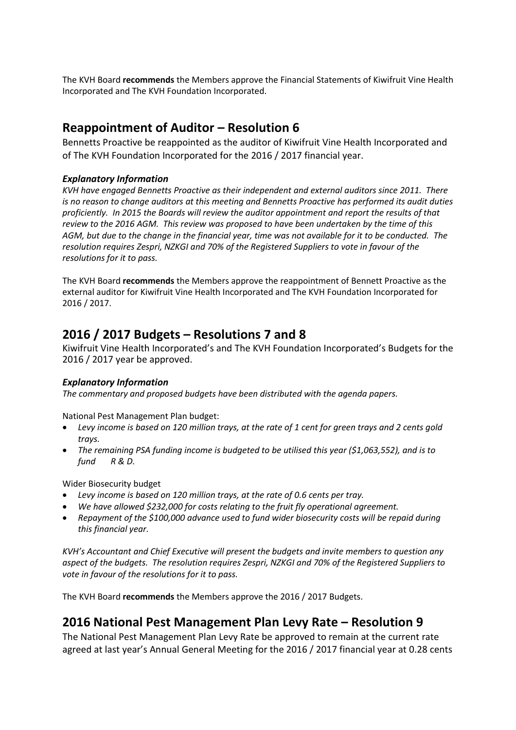The KVH Board **recommends** the Members approve the Financial Statements of Kiwifruit Vine Health Incorporated and The KVH Foundation Incorporated.

# **Reappointment of Auditor – Resolution 6**

Bennetts Proactive be reappointed as the auditor of Kiwifruit Vine Health Incorporated and of The KVH Foundation Incorporated for the 2016 / 2017 financial year.

#### *Explanatory Information*

*KVH have engaged Bennetts Proactive as their independent and external auditors since 2011. There is no reason to change auditors at this meeting and Bennetts Proactive has performed its audit duties proficiently. In 2015 the Boards will review the auditor appointment and report the results of that review to the 2016 AGM. This review was proposed to have been undertaken by the time of this AGM, but due to the change in the financial year, time was not available for it to be conducted. The resolution requires Zespri, NZKGI and 70% of the Registered Suppliers to vote in favour of the resolutions for it to pass.*

The KVH Board **recommends** the Members approve the reappointment of Bennett Proactive as the external auditor for Kiwifruit Vine Health Incorporated and The KVH Foundation Incorporated for 2016 / 2017.

## **2016 / 2017 Budgets – Resolutions 7 and 8**

Kiwifruit Vine Health Incorporated's and The KVH Foundation Incorporated's Budgets for the 2016 / 2017 year be approved.

#### *Explanatory Information*

*The commentary and proposed budgets have been distributed with the agenda papers.* 

National Pest Management Plan budget:

- *Levy income is based on 120 million trays, at the rate of 1 cent for green trays and 2 cents gold trays.*
- *The remaining PSA funding income is budgeted to be utilised this year (\$1,063,552), and is to fund R & D.*

Wider Biosecurity budget

- *Levy income is based on 120 million trays, at the rate of 0.6 cents per tray.*
- *We have allowed \$232,000 for costs relating to the fruit fly operational agreement.*
- *Repayment of the \$100,000 advance used to fund wider biosecurity costs will be repaid during this financial year.*

*KVH's Accountant and Chief Executive will present the budgets and invite members to question any aspect of the budgets. The resolution requires Zespri, NZKGI and 70% of the Registered Suppliers to vote in favour of the resolutions for it to pass.*

The KVH Board **recommends** the Members approve the 2016 / 2017 Budgets.

## **2016 National Pest Management Plan Levy Rate – Resolution 9**

The National Pest Management Plan Levy Rate be approved to remain at the current rate agreed at last year's Annual General Meeting for the 2016 / 2017 financial year at 0.28 cents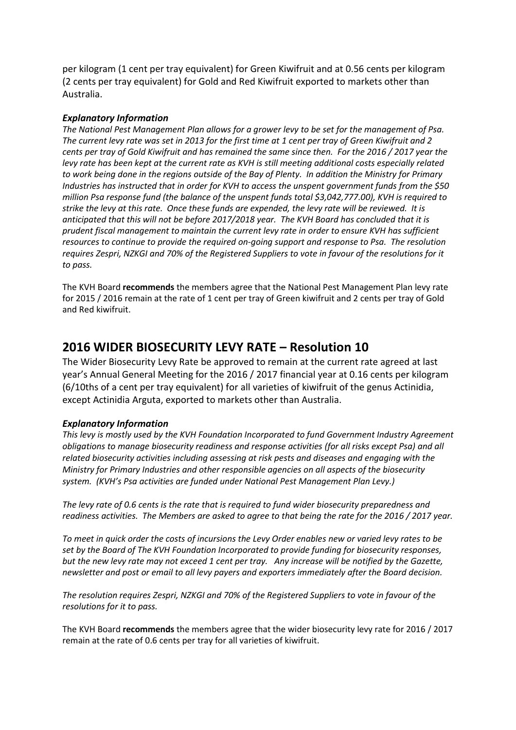per kilogram (1 cent per tray equivalent) for Green Kiwifruit and at 0.56 cents per kilogram (2 cents per tray equivalent) for Gold and Red Kiwifruit exported to markets other than Australia.

#### *Explanatory Information*

*The National Pest Management Plan allows for a grower levy to be set for the management of Psa. The current levy rate was set in 2013 for the first time at 1 cent per tray of Green Kiwifruit and 2 cents per tray of Gold Kiwifruit and has remained the same since then. For the 2016 / 2017 year the levy rate has been kept at the current rate as KVH is still meeting additional costs especially related to work being done in the regions outside of the Bay of Plenty. In addition the Ministry for Primary Industries has instructed that in order for KVH to access the unspent government funds from the \$50 million Psa response fund (the balance of the unspent funds total \$3,042,777.00), KVH is required to strike the levy at this rate. Once these funds are expended, the levy rate will be reviewed. It is anticipated that this will not be before 2017/2018 year. The KVH Board has concluded that it is prudent fiscal management to maintain the current levy rate in order to ensure KVH has sufficient resources to continue to provide the required on-going support and response to Psa. The resolution requires Zespri, NZKGI and 70% of the Registered Suppliers to vote in favour of the resolutions for it to pass.*

The KVH Board **recommends** the members agree that the National Pest Management Plan levy rate for 2015 / 2016 remain at the rate of 1 cent per tray of Green kiwifruit and 2 cents per tray of Gold and Red kiwifruit.

## **2016 WIDER BIOSECURITY LEVY RATE – Resolution 10**

The Wider Biosecurity Levy Rate be approved to remain at the current rate agreed at last year's Annual General Meeting for the 2016 / 2017 financial year at 0.16 cents per kilogram (6/10ths of a cent per tray equivalent) for all varieties of kiwifruit of the genus Actinidia, except Actinidia Arguta, exported to markets other than Australia.

#### *Explanatory Information*

*This levy is mostly used by the KVH Foundation Incorporated to fund Government Industry Agreement obligations to manage biosecurity readiness and response activities (for all risks except Psa) and all related biosecurity activities including assessing at risk pests and diseases and engaging with the Ministry for Primary Industries and other responsible agencies on all aspects of the biosecurity system. (KVH's Psa activities are funded under National Pest Management Plan Levy.)*

*The levy rate of 0.6 cents is the rate that is required to fund wider biosecurity preparedness and readiness activities. The Members are asked to agree to that being the rate for the 2016 / 2017 year.* 

*To meet in quick order the costs of incursions the Levy Order enables new or varied levy rates to be set by the Board of The KVH Foundation Incorporated to provide funding for biosecurity responses, but the new levy rate may not exceed 1 cent per tray. Any increase will be notified by the Gazette, newsletter and post or email to all levy payers and exporters immediately after the Board decision.*

*The resolution requires Zespri, NZKGI and 70% of the Registered Suppliers to vote in favour of the resolutions for it to pass.*

The KVH Board **recommends** the members agree that the wider biosecurity levy rate for 2016 / 2017 remain at the rate of 0.6 cents per tray for all varieties of kiwifruit.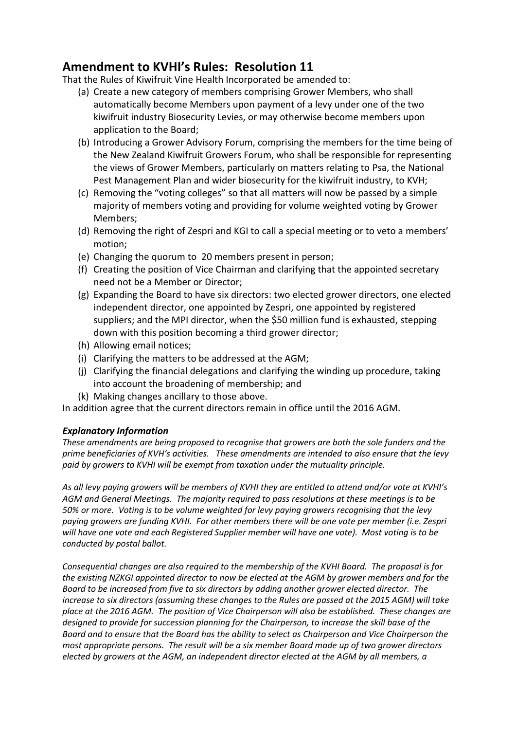# **Amendment to KVHI's Rules: Resolution 11**

That the Rules of Kiwifruit Vine Health Incorporated be amended to:

- (a) Create a new category of members comprising Grower Members, who shall automatically become Members upon payment of a levy under one of the two kiwifruit industry Biosecurity Levies, or may otherwise become members upon application to the Board;
- (b) Introducing a Grower Advisory Forum, comprising the members for the time being of the New Zealand Kiwifruit Growers Forum, who shall be responsible for representing the views of Grower Members, particularly on matters relating to Psa, the National Pest Management Plan and wider biosecurity for the kiwifruit industry, to KVH;
- (c) Removing the "voting colleges" so that all matters will now be passed by a simple majority of members voting and providing for volume weighted voting by Grower Members;
- (d) Removing the right of Zespri and KGI to call a special meeting or to veto a members' motion;
- (e) Changing the quorum to 20 members present in person;
- (f) Creating the position of Vice Chairman and clarifying that the appointed secretary need not be a Member or Director;
- (g) Expanding the Board to have six directors: two elected grower directors, one elected independent director, one appointed by Zespri, one appointed by registered suppliers; and the MPI director, when the \$50 million fund is exhausted, stepping down with this position becoming a third grower director;
- (h) Allowing email notices;
- (i) Clarifying the matters to be addressed at the AGM;
- (j) Clarifying the financial delegations and clarifying the winding up procedure, taking into account the broadening of membership; and
- (k) Making changes ancillary to those above.

In addition agree that the current directors remain in office until the 2016 AGM.

#### *Explanatory Information*

*These amendments are being proposed to recognise that growers are both the sole funders and the prime beneficiaries of KVH's activities. These amendments are intended to also ensure that the levy paid by growers to KVHI will be exempt from taxation under the mutuality principle.*

*As all levy paying growers will be members of KVHI they are entitled to attend and/or vote at KVHI's AGM and General Meetings. The majority required to pass resolutions at these meetings is to be 50% or more. Voting is to be volume weighted for levy paying growers recognising that the levy paying growers are funding KVHI. For other members there will be one vote per member (i.e. Zespri will have one vote and each Registered Supplier member will have one vote). Most voting is to be conducted by postal ballot.*

*Consequential changes are also required to the membership of the KVHI Board. The proposal is for the existing NZKGI appointed director to now be elected at the AGM by grower members and for the Board to be increased from five to six directors by adding another grower elected director. The increase to six directors (assuming these changes to the Rules are passed at the 2015 AGM) will take place at the 2016 AGM. The position of Vice Chairperson will also be established. These changes are designed to provide for succession planning for the Chairperson, to increase the skill base of the Board and to ensure that the Board has the ability to select as Chairperson and Vice Chairperson the most appropriate persons. The result will be a six member Board made up of two grower directors elected by growers at the AGM, an independent director elected at the AGM by all members, a*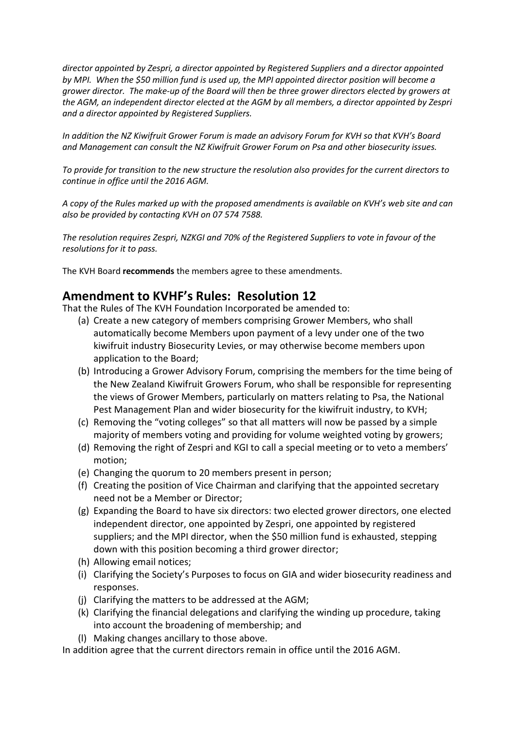*director appointed by Zespri, a director appointed by Registered Suppliers and a director appointed by MPI. When the \$50 million fund is used up, the MPI appointed director position will become a grower director. The make-up of the Board will then be three grower directors elected by growers at the AGM, an independent director elected at the AGM by all members, a director appointed by Zespri and a director appointed by Registered Suppliers.*

*In addition the NZ Kiwifruit Grower Forum is made an advisory Forum for KVH so that KVH's Board and Management can consult the NZ Kiwifruit Grower Forum on Psa and other biosecurity issues.*

*To provide for transition to the new structure the resolution also provides for the current directors to continue in office until the 2016 AGM.*

*A copy of the Rules marked up with the proposed amendments is available on KVH's web site and can also be provided by contacting KVH on 07 574 7588.*

*The resolution requires Zespri, NZKGI and 70% of the Registered Suppliers to vote in favour of the resolutions for it to pass.*

The KVH Board **recommends** the members agree to these amendments.

## **Amendment to KVHF's Rules: Resolution 12**

That the Rules of The KVH Foundation Incorporated be amended to:

- (a) Create a new category of members comprising Grower Members, who shall automatically become Members upon payment of a levy under one of the two kiwifruit industry Biosecurity Levies, or may otherwise become members upon application to the Board;
- (b) Introducing a Grower Advisory Forum, comprising the members for the time being of the New Zealand Kiwifruit Growers Forum, who shall be responsible for representing the views of Grower Members, particularly on matters relating to Psa, the National Pest Management Plan and wider biosecurity for the kiwifruit industry, to KVH;
- (c) Removing the "voting colleges" so that all matters will now be passed by a simple majority of members voting and providing for volume weighted voting by growers;
- (d) Removing the right of Zespri and KGI to call a special meeting or to veto a members' motion;
- (e) Changing the quorum to 20 members present in person;
- (f) Creating the position of Vice Chairman and clarifying that the appointed secretary need not be a Member or Director;
- (g) Expanding the Board to have six directors: two elected grower directors, one elected independent director, one appointed by Zespri, one appointed by registered suppliers; and the MPI director, when the \$50 million fund is exhausted, stepping down with this position becoming a third grower director;
- (h) Allowing email notices;
- (i) Clarifying the Society's Purposes to focus on GIA and wider biosecurity readiness and responses.
- (j) Clarifying the matters to be addressed at the AGM;
- (k) Clarifying the financial delegations and clarifying the winding up procedure, taking into account the broadening of membership; and
- (l) Making changes ancillary to those above.

In addition agree that the current directors remain in office until the 2016 AGM.